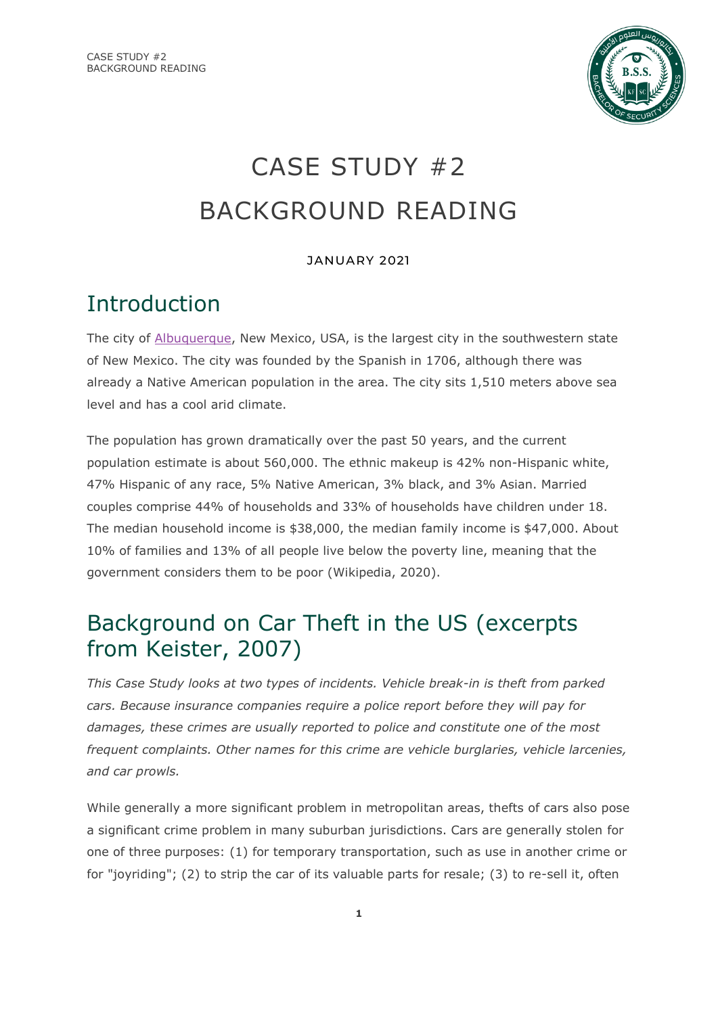

# CASE STUDY #2 BACKGROUND READING

## JANUARY 2021

# Introduction

The city of [Albuquerque,](https://en.wikipedia.org/wiki/Albuquerque,_New_Mexico#/media/File:Albuquerque_pano_sunset.jpg) New Mexico, USA, is the largest city in the southwestern state of New Mexico. The city was founded by the Spanish in 1706, although there was already a Native American population in the area. The city sits 1,510 meters above sea level and has a cool arid climate.

The population has grown dramatically over the past 50 years, and the current population estimate is about 560,000. The ethnic makeup is 42% non-Hispanic white, 47% Hispanic of any race, 5% Native American, 3% black, and 3% Asian. Married couples comprise 44% of households and 33% of households have children under 18. The median household income is \$38,000, the median family income is \$47,000. About 10% of families and 13% of all people live below the poverty line, meaning that the government considers them to be poor (Wikipedia, 2020).

# Background on Car Theft in the US (excerpts from Keister, 2007)

*This Case Study looks at two types of incidents. Vehicle break-in is theft from parked cars. Because insurance companies require a police report before they will pay for damages, these crimes are usually reported to police and constitute one of the most frequent complaints. Other names for this crime are vehicle burglaries, vehicle larcenies, and car prowls.* 

While generally a more significant problem in metropolitan areas, thefts of cars also pose a significant crime problem in many suburban jurisdictions. Cars are generally stolen for one of three purposes: (1) for temporary transportation, such as use in another crime or for "joyriding"; (2) to strip the car of its valuable parts for resale; (3) to re-sell it, often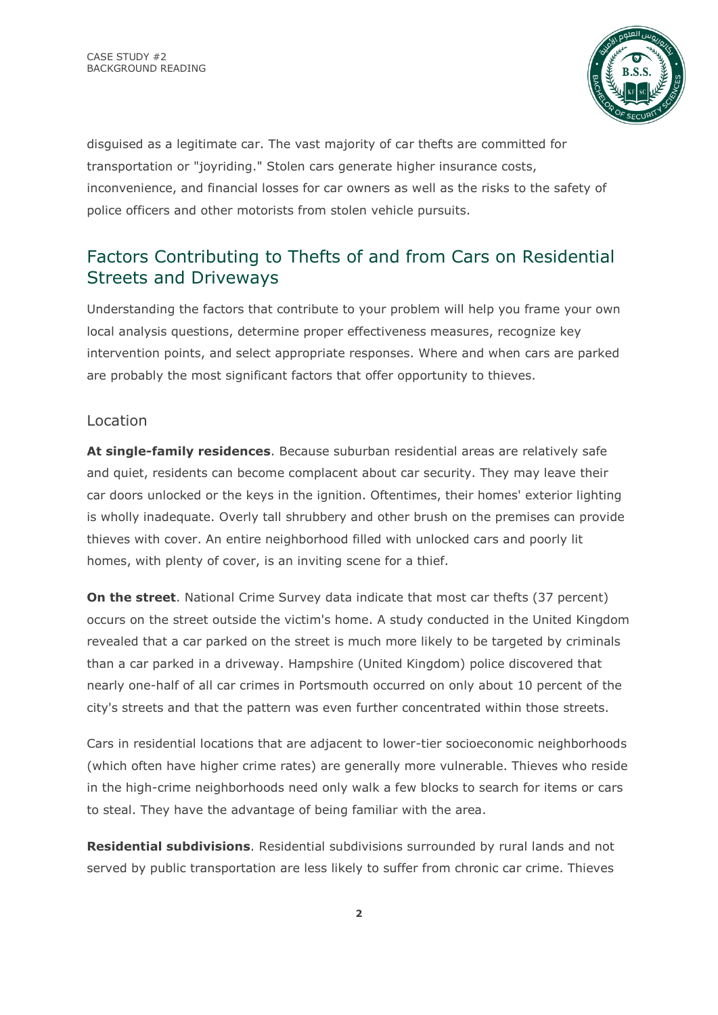

disguised as a legitimate car. The vast majority of car thefts are committed for transportation or "joyriding." Stolen cars generate higher insurance costs, inconvenience, and financial losses for car owners as well as the risks to the safety of police officers and other motorists from stolen vehicle pursuits.

# Factors Contributing to Thefts of and from Cars on Residential Streets and Driveways

Understanding the factors that contribute to your problem will help you frame your own local analysis questions, determine proper effectiveness measures, recognize key intervention points, and select appropriate responses. Where and when cars are parked are probably the most significant factors that offer opportunity to thieves.

### Location

**At single-family residences**. Because suburban residential areas are relatively safe and quiet, residents can become complacent about car security. They may leave their car doors unlocked or the keys in the ignition. Oftentimes, their homes' exterior lighting is wholly inadequate. Overly tall shrubbery and other brush on the premises can provide thieves with cover. An entire neighborhood filled with unlocked cars and poorly lit homes, with plenty of cover, is an inviting scene for a thief.

**On the street**. National Crime Survey data indicate that most car thefts (37 percent) occurs on the street outside the victim's home. A study conducted in the United Kingdom revealed that a car parked on the street is much more likely to be targeted by criminals than a car parked in a driveway. Hampshire (United Kingdom) police discovered that nearly one-half of all car crimes in Portsmouth occurred on only about 10 percent of the city's streets and that the pattern was even further concentrated within those streets.

Cars in residential locations that are adjacent to lower-tier socioeconomic neighborhoods (which often have higher crime rates) are generally more vulnerable. Thieves who reside in the high-crime neighborhoods need only walk a few blocks to search for items or cars to steal. They have the advantage of being familiar with the area.

**Residential subdivisions**. Residential subdivisions surrounded by rural lands and not served by public transportation are less likely to suffer from chronic car crime. Thieves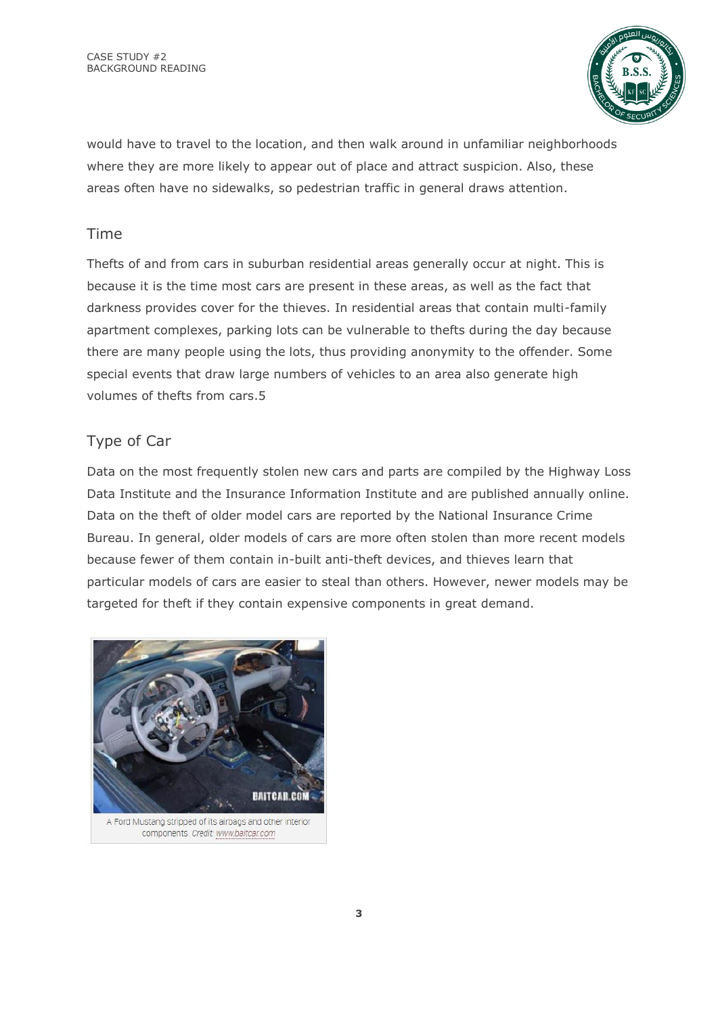

would have to travel to the location, and then walk around in unfamiliar neighborhoods where they are more likely to appear out of place and attract suspicion. Also, these areas often have no sidewalks, so pedestrian traffic in general draws attention.

## Time

Thefts of and from cars in suburban residential areas generally occur at night. This is because it is the time most cars are present in these areas, as well as the fact that darkness provides cover for the thieves. In residential areas that contain multi-family apartment complexes, parking lots can be vulnerable to thefts during the day because there are many people using the lots, thus providing anonymity to the offender. Some special events that draw large numbers of vehicles to an area also generate high volumes of thefts from cars.5

# Type of Car

Data on the most frequently stolen new cars and parts are compiled by the Highway Loss Data Institute and the Insurance Information Institute and are published annually online. Data on the theft of older model cars are reported by the National Insurance Crime Bureau. In general, older models of cars are more often stolen than more recent models because fewer of them contain in-built anti-theft devices, and thieves learn that particular models of cars are easier to steal than others. However, newer models may be targeted for theft if they contain expensive components in great demand.